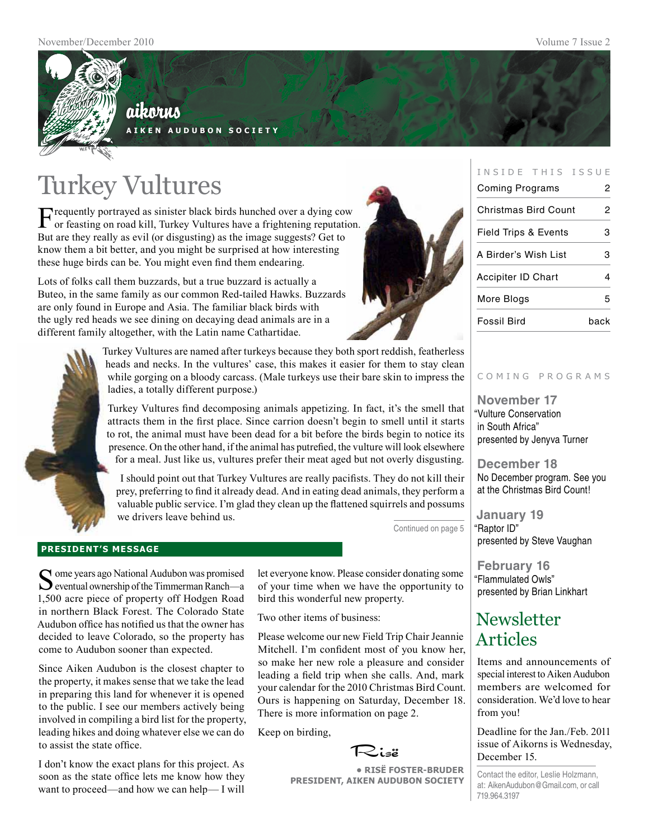

## aikorus **A i k e n A u d u b o n S o c i e t y**

Turkey Vultures

Frequently portrayed as sinister black birds hunched over a dying cow or feasting on road kill, Turkey Vultures have a frightening reputation. But are they really as evil (or disgusting) as the image suggests? Get to know them a bit better, and you might be surprised at how interesting these huge birds can be. You might even find them endearing.

Lots of folks call them buzzards, but a true buzzard is actually a Buteo, in the same family as our common Red-tailed Hawks. Buzzards are only found in Europe and Asia. The familiar black birds with the ugly red heads we see dining on decaying dead animals are in a different family altogether, with the Latin name Cathartidae.



| INSIDE THIS ISSUE               |      |  |
|---------------------------------|------|--|
| Coming Programs<br>2            |      |  |
| <b>Christmas Bird Count</b>     | 2    |  |
| <b>Field Trips &amp; Events</b> | з    |  |
| A Birder's Wish List            | 3    |  |
| <b>Accipiter ID Chart</b>       | 4    |  |
| More Blogs                      | 5    |  |
| Fossil Bird                     | back |  |



Turkey Vultures are named after turkeys because they both sport reddish, featherless heads and necks. In the vultures' case, this makes it easier for them to stay clean while gorging on a bloody carcass. (Male turkeys use their bare skin to impress the ladies, a totally different purpose.)

Turkey Vultures find decomposing animals appetizing. In fact, it's the smell that attracts them in the first place. Since carrion doesn't begin to smell until it starts to rot, the animal must have been dead for a bit before the birds begin to notice its presence. On the other hand, if the animal has putrefied, the vulture will look elsewhere for a meal. Just like us, vultures prefer their meat aged but not overly disgusting.

I should point out that Turkey Vultures are really pacifists. They do not kill their prey, preferring to find it already dead. And in eating dead animals, they perform a valuable public service. I'm glad they clean up the flattened squirrels and possums we drivers leave behind us.

Continued on page 5

## **president's message**

Some years ago National Audubon was promised<br>
Seventual ownership of the Timmerman Ranch—a 1,500 acre piece of property off Hodgen Road in northern Black Forest. The Colorado State Audubon office has notified us that the owner has decided to leave Colorado, so the property has come to Audubon sooner than expected.

Since Aiken Audubon is the closest chapter to the property, it makes sense that we take the lead in preparing this land for whenever it is opened to the public. I see our members actively being involved in compiling a bird list for the property, leading hikes and doing whatever else we can do to assist the state office.

I don't know the exact plans for this project. As soon as the state office lets me know how they want to proceed—and how we can help— I will

let everyone know. Please consider donating some of your time when we have the opportunity to bird this wonderful new property.

Two other items of business:

Please welcome our new Field Trip Chair Jeannie Mitchell. I'm confident most of you know her, so make her new role a pleasure and consider leading a field trip when she calls. And, mark your calendar for the 2010 Christmas Bird Count. Ours is happening on Saturday, December 18. There is more information on page 2.

Keep on birding,



**• RisË Foster-Bruder President, Aiken Audubon Society**

#### c o m i n g p r o g r a m s

**November 17** "Vulture Conservation in South Africa" presented by Jenyva Turner

**December 18** No December program. See you at the Christmas Bird Count!

**January 19** "Raptor ID" presented by Steve Vaughan

**February 16** "Flammulated Owls" presented by Brian Linkhart

## **Newsletter** Articles

Items and announcements of special interest to Aiken Audubon members are welcomed for consideration. We'd love to hear from you!

Deadline for the Jan./Feb. 2011 issue of Aikorns is Wednesday, December 15.

Contact the editor, Leslie Holzmann, at: AikenAudubon@Gmail.com, or call 719.964.3197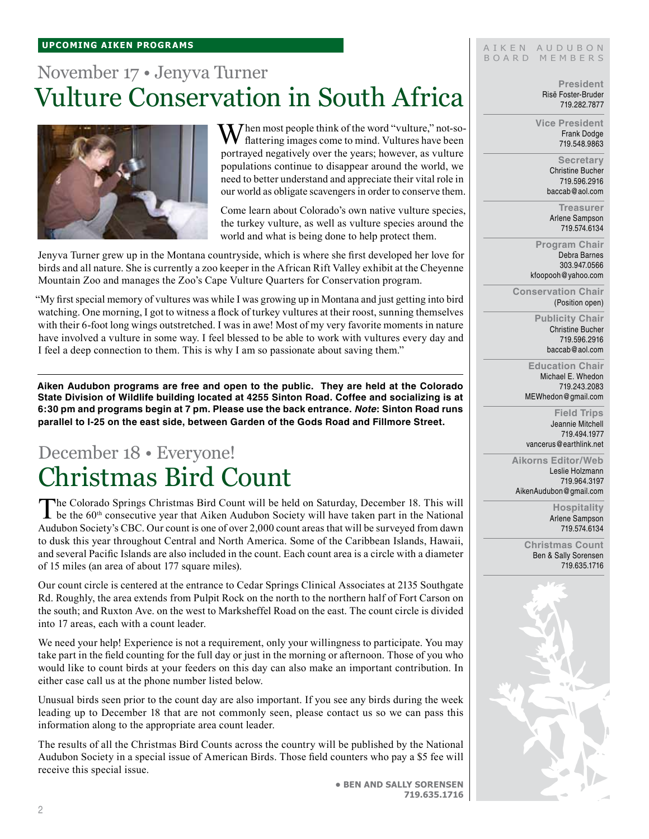#### **upcoming aiken Programs**

# November 17 • Jenyva Turner Vulture Conservation in South Africa



 $\mathbf{W}$  hen most people think of the word "vulture," not-soflattering images come to mind. Vultures have been portrayed negatively over the years; however, as vulture populations continue to disappear around the world, we need to better understand and appreciate their vital role in our world as obligate scavengers in order to conserve them.

Come learn about Colorado's own native vulture species, the turkey vulture, as well as vulture species around the world and what is being done to help protect them.

Jenyva Turner grew up in the Montana countryside, which is where she first developed her love for birds and all nature. She is currently a zoo keeper in the African Rift Valley exhibit at the Cheyenne Mountain Zoo and manages the Zoo's Cape Vulture Quarters for Conservation program.

"My first special memory of vultures was while I was growing up in Montana and just getting into bird watching. One morning, I got to witness a flock of turkey vultures at their roost, sunning themselves with their 6-foot long wings outstretched. I was in awe! Most of my very favorite moments in nature have involved a vulture in some way. I feel blessed to be able to work with vultures every day and I feel a deep connection to them. This is why I am so passionate about saving them."

**Aiken Audubon programs are free and open to the public. They are held at the Colorado State Division of Wildlife building located at 4255 Sinton Road. Coffee and socializing is at 6:30 pm and programs begin at 7 pm. Please use the back entrance.** *Note***: Sinton Road runs parallel to I-25 on the east side, between Garden of the Gods Road and Fillmore Street.**

# December 18 • Everyone! Christmas Bird Count

The Colorado Springs Christmas Bird Count will be held on Saturday, December 18. This will be the 60<sup>th</sup> consecutive year that Aiken Audubon Society will have taken part in the National Audubon Society's CBC. Our count is one of over 2,000 count areas that will be surveyed from dawn to dusk this year throughout Central and North America. Some of the Caribbean Islands, Hawaii, and several Pacific Islands are also included in the count. Each count area is a circle with a diameter of 15 miles (an area of about 177 square miles).

Our count circle is centered at the entrance to Cedar Springs Clinical Associates at 2135 Southgate Rd. Roughly, the area extends from Pulpit Rock on the north to the northern half of Fort Carson on the south; and Ruxton Ave. on the west to Marksheffel Road on the east. The count circle is divided into 17 areas, each with a count leader.

We need your help! Experience is not a requirement, only your willingness to participate. You may take part in the field counting for the full day or just in the morning or afternoon. Those of you who would like to count birds at your feeders on this day can also make an important contribution. In either case call us at the phone number listed below.

Unusual birds seen prior to the count day are also important. If you see any birds during the week leading up to December 18 that are not commonly seen, please contact us so we can pass this information along to the appropriate area count leader.

The results of all the Christmas Bird Counts across the country will be published by the National Audubon Society in a special issue of American Birds. Those field counters who pay a \$5 fee will receive this special issue.

AIKEN AUDUBON B O A R D M E M B E R S

> **President** Risë Foster-Bruder 719.282.7877

**Vice President** Frank Dodge 719.548.9863

> **Secretary** Christine Bucher 719.596.2916 baccab@aol.com

**Treasurer** Arlene Sampson 719.574.6134

**Program Chair** Debra Barnes 303.947.0566 kfoopooh@yahoo.com

**Conservation Chair** (Position open)

> **Publicity Chair** Christine Bucher 719.596.2916 baccab@aol.com

**Education Chair** Michael E. Whedon 719.243.2083 MEWhedon@gmail.com

**Field Trips** Jeannie Mitchell 719.494.1977 vancerus@earthlink.net

**Aikorns Editor/Web** Leslie Holzmann 719.964.3197 AikenAudubon@gmail.com

> **Hospitality** Arlene Sampson 719.574.6134

**Christmas Count** Ben & Sally Sorensen 719.635.1716



**• Ben and Sally Sorensen 719.635.1716**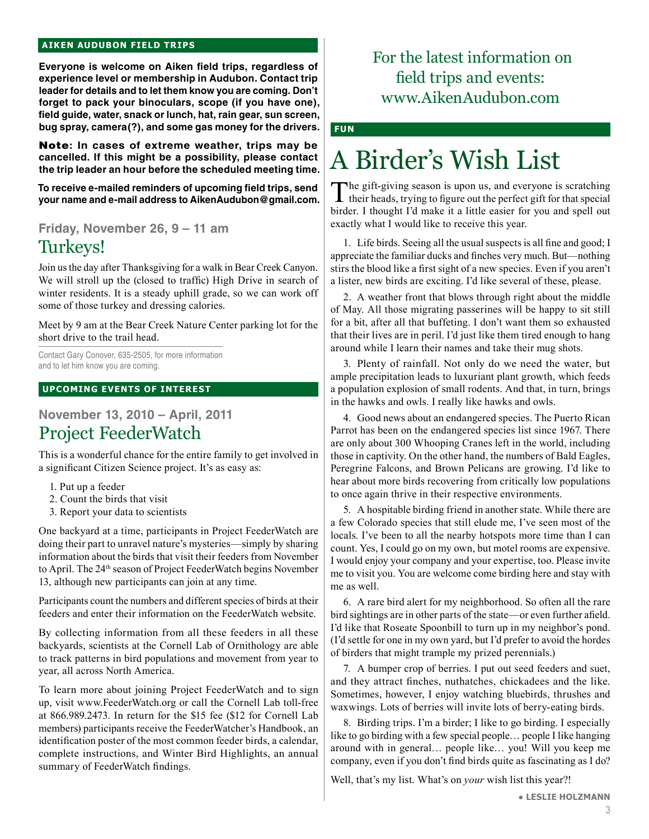#### **aiken audubon FIELD TRIPS**

**Everyone is welcome on Aiken field trips, regardless of experience level or membership in Audubon. Contact trip leader for details and to let them know you are coming. Don't forget to pack your binoculars, scope (if you have one), field guide, water, snack or lunch, hat, rain gear, sun screen, bug spray, camera(?), and some gas money for the drivers.** 

Note**: In cases of extreme weather, trips may be cancelled. If this might be a possibility, please contact the trip leader an hour before the scheduled meeting time.**

**To receive e-mailed reminders of upcoming field trips, send your name and e-mail address to AikenAudubon@gmail.com.**

**Friday, November 26, 9 – 11 am**

## Turkeys!

Join us the day after Thanksgiving for a walk in Bear Creek Canyon. We will stroll up the (closed to traffic) High Drive in search of winter residents. It is a steady uphill grade, so we can work off some of those turkey and dressing calories.

Meet by 9 am at the Bear Creek Nature Center parking lot for the short drive to the trail head.

Contact Gary Conover, 635-2505, for more information and to let him know you are coming.

#### **UPCOMING EVENTS OF INTEREST**

## **November 13, 2010 – April, 2011** Project FeederWatch

This is a wonderful chance for the entire family to get involved in a significant Citizen Science project. It's as easy as:

- 1. Put up a feeder
- 2. Count the birds that visit
- 3. Report your data to scientists

One backyard at a time, participants in Project FeederWatch are doing their part to unravel nature's mysteries—simply by sharing information about the birds that visit their feeders from November to April. The 24<sup>th</sup> season of Project FeederWatch begins November 13, although new participants can join at any time.

Participants count the numbers and different species of birds at their feeders and enter their information on the FeederWatch website.

By collecting information from all these feeders in all these backyards, scientists at the Cornell Lab of Ornithology are able to track patterns in bird populations and movement from year to year, all across North America.

To learn more about joining Project FeederWatch and to sign up, visit www.FeederWatch.org or call the Cornell Lab toll-free at 866.989.2473. In return for the \$15 fee (\$12 for Cornell Lab members) participants receive the FeederWatcher's Handbook, an identification poster of the most common feeder birds, a calendar, complete instructions, and Winter Bird Highlights, an annual summary of FeederWatch findings.

## For the latest information on field trips and events: www.AikenAudubon.com

**fun**

# A Birder's Wish List

The gift-giving season is upon us, and everyone is scratching  $\blacksquare$  their heads, trying to figure out the perfect gift for that special birder. I thought I'd make it a little easier for you and spell out exactly what I would like to receive this year.

1. Life birds. Seeing all the usual suspects is all fine and good; I appreciate the familiar ducks and finches very much. But—nothing stirs the blood like a first sight of a new species. Even if you aren't a lister, new birds are exciting. I'd like several of these, please.

2. A weather front that blows through right about the middle of May. All those migrating passerines will be happy to sit still for a bit, after all that buffeting. I don't want them so exhausted that their lives are in peril. I'd just like them tired enough to hang around while I learn their names and take their mug shots.

3. Plenty of rainfall. Not only do we need the water, but ample precipitation leads to luxuriant plant growth, which feeds a population explosion of small rodents. And that, in turn, brings in the hawks and owls. I really like hawks and owls.

4. Good news about an endangered species. The Puerto Rican Parrot has been on the endangered species list since 1967. There are only about 300 Whooping Cranes left in the world, including those in captivity. On the other hand, the numbers of Bald Eagles, Peregrine Falcons, and Brown Pelicans are growing. I'd like to hear about more birds recovering from critically low populations to once again thrive in their respective environments.

5. A hospitable birding friend in another state. While there are a few Colorado species that still elude me, I've seen most of the locals. I've been to all the nearby hotspots more time than I can count. Yes, I could go on my own, but motel rooms are expensive. I would enjoy your company and your expertise, too. Please invite me to visit you. You are welcome come birding here and stay with me as well.

6. A rare bird alert for my neighborhood. So often all the rare bird sightings are in other parts of the state—or even further afield. I'd like that Roseate Spoonbill to turn up in my neighbor's pond. (I'd settle for one in my own yard, but I'd prefer to avoid the hordes of birders that might trample my prized perennials.)

7. A bumper crop of berries. I put out seed feeders and suet, and they attract finches, nuthatches, chickadees and the like. Sometimes, however, I enjoy watching bluebirds, thrushes and waxwings. Lots of berries will invite lots of berry-eating birds.

8. Birding trips. I'm a birder; I like to go birding. I especially like to go birding with a few special people… people I like hanging around with in general… people like… you! Will you keep me company, even if you don't find birds quite as fascinating as I do?

Well, that's my list. What's on *your* wish list this year?!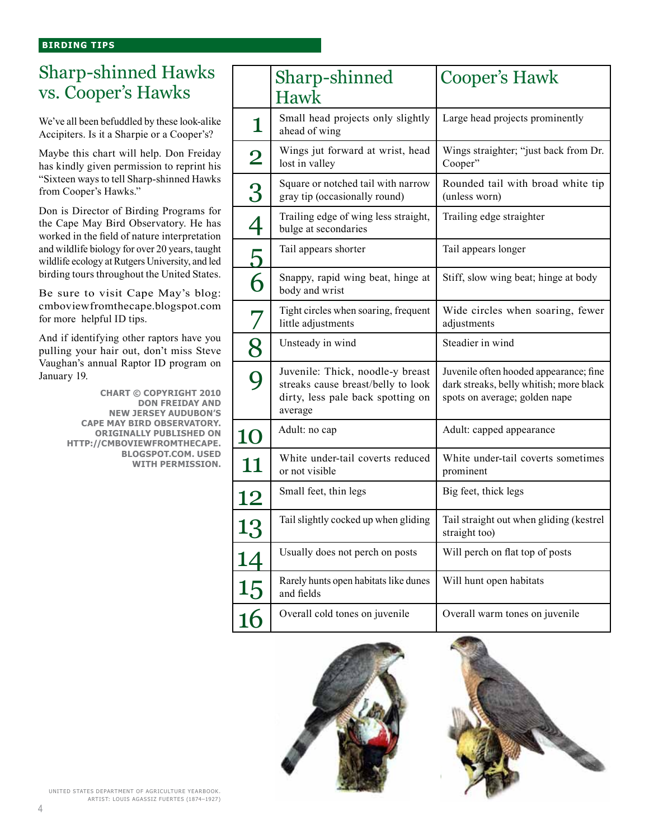## Sharp-shinned Hawks vs. Cooper's Hawks

We've all been befuddled by these look-alike Accipiters. Is it a Sharpie or a Cooper's?

Maybe this chart will help. Don Freiday has kindly given permission to reprint his "Sixteen ways to tell Sharp-shinned Hawks from Cooper's Hawks."

Don is Director of Birding Programs for the Cape May Bird Observatory. He has worked in the field of nature interpretation and wildlife biology for over 20 years, taught wildlife ecology at Rutgers University, and led birding tours throughout the United States.

Be sure to visit Cape May's blog: cmboviewfromthecape.blogspot.com for more helpful ID tips.

And if identifying other raptors have you pulling your hair out, don't miss Steve Vaughan's annual Raptor ID program on January 19.

> **Chart © Copyright 2010 Don Freiday and New Jersey Audubon's Cape May Bird Observatory. Originally published on http://cmboviewfromthecape. blogspot.com. Used with permission.**

|                 | Sharp-shinned                                                                                                          | <b>Cooper's Hawk</b>                                                                                               |
|-----------------|------------------------------------------------------------------------------------------------------------------------|--------------------------------------------------------------------------------------------------------------------|
|                 | Hawk                                                                                                                   |                                                                                                                    |
| 1               | Small head projects only slightly<br>ahead of wing                                                                     | Large head projects prominently                                                                                    |
| $\bf{2}$        | Wings jut forward at wrist, head<br>lost in valley                                                                     | Wings straighter; "just back from Dr.<br>Cooper"                                                                   |
| 3               | Square or notched tail with narrow<br>gray tip (occasionally round)                                                    | Rounded tail with broad white tip<br>(unless worn)                                                                 |
| $\overline{4}$  | Trailing edge of wing less straight,<br>bulge at secondaries                                                           | Trailing edge straighter                                                                                           |
| $\overline{5}$  | Tail appears shorter                                                                                                   | Tail appears longer                                                                                                |
| 6               | Snappy, rapid wing beat, hinge at<br>body and wrist                                                                    | Stiff, slow wing beat; hinge at body                                                                               |
| 7               | Tight circles when soaring, frequent<br>little adjustments                                                             | Wide circles when soaring, fewer<br>adjustments                                                                    |
| 8               | Unsteady in wind                                                                                                       | Steadier in wind                                                                                                   |
| 9               | Juvenile: Thick, noodle-y breast<br>streaks cause breast/belly to look<br>dirty, less pale back spotting on<br>average | Juvenile often hooded appearance; fine<br>dark streaks, belly whitish; more black<br>spots on average; golden nape |
| <b>10</b>       | Adult: no cap                                                                                                          | Adult: capped appearance                                                                                           |
| 11              | White under-tail coverts reduced<br>or not visible                                                                     | White under-tail coverts sometimes<br>prominent                                                                    |
| 12              | Small feet, thin legs                                                                                                  | Big feet, thick legs                                                                                               |
| 13              | Tail slightly cocked up when gliding                                                                                   | Tail straight out when gliding (kestrel<br>straight too)                                                           |
| <u> 14</u>      | Usually does not perch on posts                                                                                        | Will perch on flat top of posts                                                                                    |
| $\frac{15}{16}$ | Rarely hunts open habitats like dunes<br>and fields                                                                    | Will hunt open habitats                                                                                            |
|                 | Overall cold tones on juvenile                                                                                         | Overall warm tones on juvenile                                                                                     |



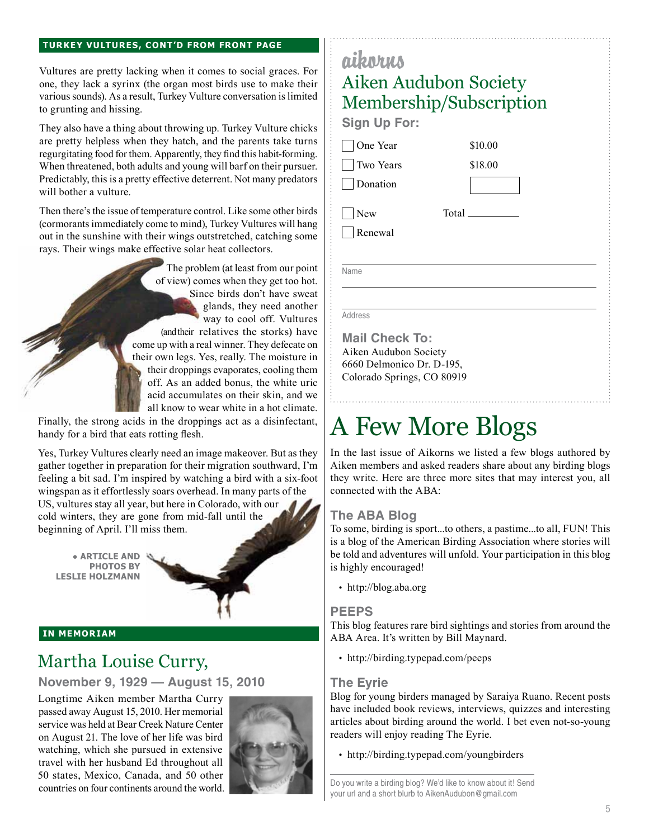#### **Turkey Vultures, cont'd from front page**

Vultures are pretty lacking when it comes to social graces. For one, they lack a syrinx (the organ most birds use to make their various sounds). As a result, Turkey Vulture conversation is limited to grunting and hissing.

They also have a thing about throwing up. Turkey Vulture chicks are pretty helpless when they hatch, and the parents take turns regurgitating food for them. Apparently, they find this habit-forming. When threatened, both adults and young will barf on their pursuer. Predictably, this is a pretty effective deterrent. Not many predators will bother a vulture.

Then there's the issue of temperature control. Like some other birds (cormorants immediately come to mind), Turkey Vultures will hang out in the sunshine with their wings outstretched, catching some rays. Their wings make effective solar heat collectors.

> The problem (at least from our point of view) comes when they get too hot. Since birds don't have sweat glands, they need another way to cool off. Vultures (and their relatives the storks) have come up with a real winner. They defecate on their own legs. Yes, really. The moisture in their droppings evaporates, cooling them off. As an added bonus, the white uric acid accumulates on their skin, and we all know to wear white in a hot climate.

Finally, the strong acids in the droppings act as a disinfectant,  $|$  A Few More Blogs handy for a bird that eats rotting flesh.

Yes, Turkey Vultures clearly need an image makeover. But as they gather together in preparation for their migration southward, I'm feeling a bit sad. I'm inspired by watching a bird with a six-foot wingspan as it effortlessly soars overhead. In many parts of the US, vultures stay all year, but here in Colorado, with our cold winters, they are gone from mid-fall until the beginning of April. I'll miss them.

**● ARTICLE AND PHOTOS BY Leslie Holzmann**



#### **in memoriam**

## Martha Louise Curry,

**November 9, 1929 — August 15, 2010**

Longtime Aiken member Martha Curry passed away August 15, 2010. Her memorial service was held at Bear Creek Nature Center on August 21. The love of her life was bird watching, which she pursued in extensive travel with her husband Ed throughout all 50 states, Mexico, Canada, and 50 other countries on four continents around the world.



## aikorus Aiken Audubon Society Membership/Subscription

**Sign Up For:**

One Year Two Years

Donation

**New** Renewal Total

\$10.00 \$18.00

Name

Address

**Mail Check To:** Aiken Audubon Society 6660 Delmonico Dr. D-195, Colorado Springs, CO 80919

In the last issue of Aikorns we listed a few blogs authored by Aiken members and asked readers share about any birding blogs they write. Here are three more sites that may interest you, all connected with the ABA:

## **The ABA Blog**

To some, birding is sport...to others, a pastime...to all, FUN! This is a blog of the American Birding Association where stories will be told and adventures will unfold. Your participation in this blog is highly encouraged!

• http://blog.aba.org

## **PEEPS**

This blog features rare bird sightings and stories from around the ABA Area. It's written by Bill Maynard.

• http://birding.typepad.com/peeps

#### **The Eyrie**

Blog for young birders managed by Saraiya Ruano. Recent posts have included book reviews, interviews, quizzes and interesting articles about birding around the world. I bet even not-so-young readers will enjoy reading The Eyrie.

• http://birding.typepad.com/youngbirders

Do you write a birding blog? We'd like to know about it! Send your url and a short blurb to AikenAudubon@gmail.com